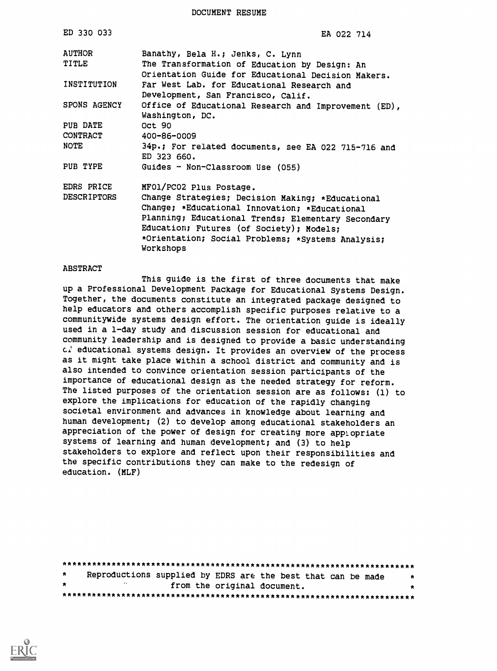DOCUMENT RESUME

| ED 330 033             | EA 022 714                                                                                                                             |
|------------------------|----------------------------------------------------------------------------------------------------------------------------------------|
| AUTHOR<br><b>TITLE</b> | Banathy, Bela H.; Jenks, C. Lynn<br>The Transformation of Education by Design: An                                                      |
| INSTITUTION            | Orientation Guide for Educational Decision Makers.<br>Far West Lab. for Educational Research and<br>Development, San Francisco, Calif. |
| SPONS AGENCY           | Office of Educational Research and Improvement (ED),<br>Washington, DC.                                                                |
| PUB DATE               | Oct 90                                                                                                                                 |
| CONTRACT               | 400-86-0009                                                                                                                            |
| NOTE                   | 34p.; For related documents, see EA 022 715-716 and<br>ED 323 660.                                                                     |
| PUB TYPE               | Guides - Non-Classroom Use (055)                                                                                                       |
| EDRS PRICE             | MF01/PC02 Plus Postage.                                                                                                                |
| <b>DESCRIPTORS</b>     | Change Strategies; Decision Making; *Educational<br>Change; *Educational Innovation; *Educational                                      |
|                        | Planning; Educational Trends; Elementary Secondary                                                                                     |
|                        | Education; Futures (of Society); Models;                                                                                               |
|                        | *Orientation; Social Problems; *Systems Analysis;<br>Workshops                                                                         |

#### ABSTRACT

This guide is the first of three documents that make up a Professional Development Package for Educational Systems Design. Together, the documents constitute an integrated package designed to help educators and others accomplish specific purposes relative to a communitywide systems design effort. The orientation guide is ideally used in a 1-day study and discussion session for educational and community leadership and is designed to provide a basic understanding educational systems design. It provides an overview of the process as it might take place within a school district and community and is also intended to convince orientation session participants of the importance of educational design as the needed strategy for reform. The listed purposes of the orientation session are as follows: (1) to explore the implications for education of the rapidly changing societal environment and advances in knowledge about learning and human development; (2) to develop among educational stakeholders an appreciation of the power of design for creating more applopriate systems of learning and human development; and (3) to help stakeholders to explore and reflect upon their responsibilities and the specific contributions they can make to the redesign of education. (MLF)

| $\star$ |  | Reproductions supplied by EDRS are the best that can be made | $\star$ |
|---------|--|--------------------------------------------------------------|---------|
| $\star$ |  | from the original document.                                  |         |
|         |  |                                                              |         |

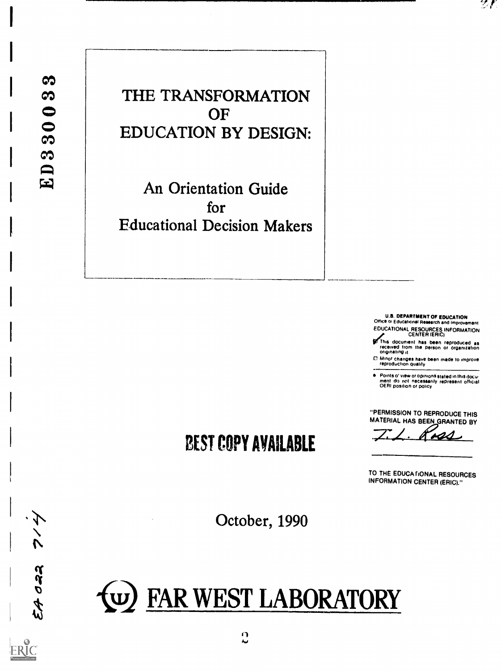グイ クルス

THE TRANSFORMATION **OF** EDUCATION BY DESIGN:

An Orientation Guide for Educational Decision Makers

> U.S. DEPARTMENT OF EDUCATION<br>Office of Educational Research and Improvement EDUCATIONAL RESOURCES INFORMATION

 $Z$   $\mathcal{E}$ 

CENTER (ERIC)<br>This document has been reproduced as<br>received from the person or organization<br>originating it

0 Minor changes have been made to improve reproduction quality

 $\bullet$ Points of view or opinions stated in this doculment.<br>ment: do incit inecessarily represent official<br>OERI position or policy

"PERMISSION TO REPRODUCE THIS MATERIAL HAS BEEN GRANTED BY

 $7.1.$  Ross

TO THE EDUCA tiONAL RESOURCES INFORMATION CENTER (ERIC)."

October, 1990

BEST COPY AVAILABLE

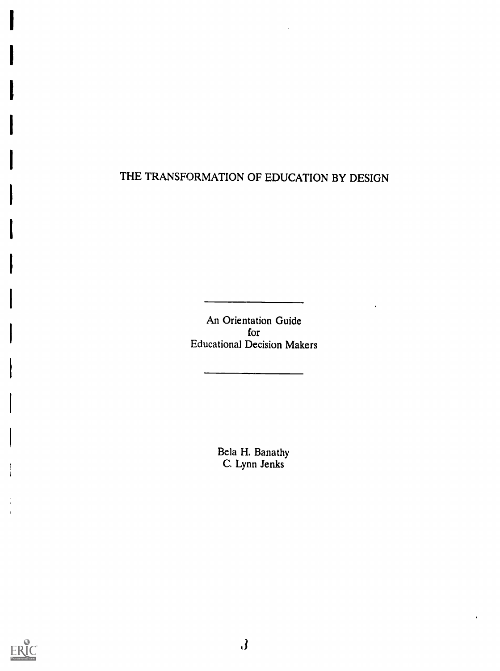## THE TRANSFORMATION OF EDUCATION BY DESIGN

An Orientation Guide for Educational Decision Makers

> Bela H. Banathy C. Lynn Jenks

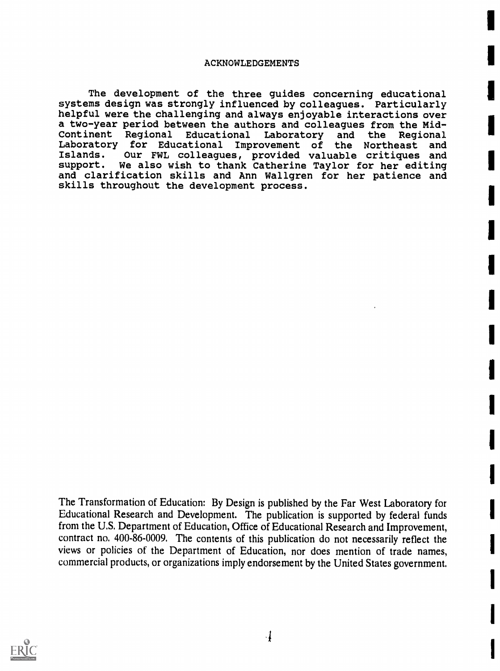#### ACKNOWLEDGEMENTS

The development of the three guides concerning educational systems design was strongly influenced by colleagues. Particularly helpful were the challenging and always enjoyable interactions over a two-year period between the authors and colleagues from the Mid-Continent Regional Educational Laboratory and the Regional Laboratory for Educational Improvement of the Northeast<br>Islands. Our FWL colleagues, provided valuable critiques Islands. Our FWL colleagues, provided valuable critiques and support. We also wish to thank Catherine Taylor for her editing and clarification skills and Ann Wallgren for her patience and skills throughout the development process .

The Transformation of Education: By Design is published by the Far West Laboratory for Educational Research and Development. The publication is supported by federal funds from the U.S. Department of Education, Office of Educational Research and Improvement, contract no. 400-86-0009. The contents of this publication do not necessarily reflect the views or policies of the Department of Education, nor does mention of trade names, commercial products, or organizations imply endorsement by the United States government.

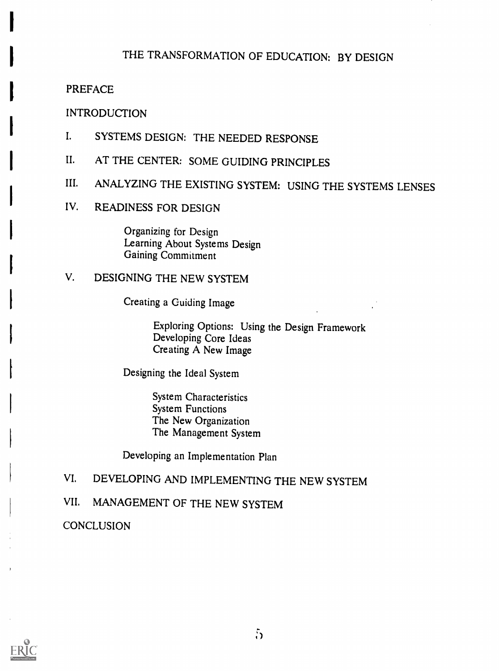# THE TRANSFORMATION OF EDUCATION: BY DESIGN

### PREFACE

#### INTRODUCTION

- I. SYSTEMS DESIGN: THE NEEDED RESPONSE
- II. AT THE CENTER: SOME GUIDING PRINCIPLES
- III. ANALYZING THE EXISTING SYSTEM: USING THE SYSTEMS LENSES
- IV. READINESS FOR DESIGN

Organizing for Design Learning About Systems Design Gaining Commitment

## V. DESIGNING THE NEW SYSTEM

Creating a Guiding Image

Exploring Options: Using the Design Framework Developing Core Ideas Creating A New Image

Designing the Ideal System

System Characteristics System Functions The New Organization The Management System

Developing an Implementation Plan

## VI. DEVELOPING AND IMPLEMENTING THE NEW SYSTEM

# VII. MANAGEMENT OF THE NEW SYSTEM

**CONCLUSION** 

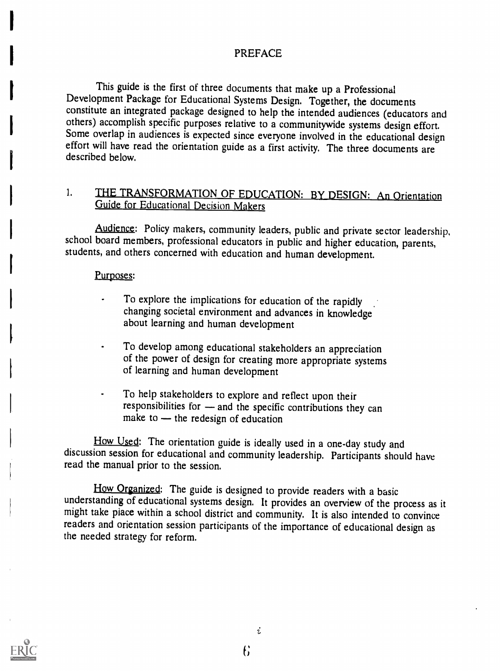### PREFACE

This guide is the first of three documents that make up a Professional Development Package for Educational Systems Design. Together, the documents constitute an integrated package designed to help the intended audiences (educators and others) accomplish specific purposes relative to a communitywide systems design effort. Some overlap in audiences is expected since everyone involved in the educational design effort will have read the orientation guide as a first activity. The three documents are described below.

#### THE TRANSFORMATION OF EDUCATION: BY DESIGN: An Orientation  $1.$ Guide for Educational Decision Makers

Audience: Policy makers, community leaders, public and private sector leadership, school board members, professional educators in public and higher education, parents, students, and others concerned with education and human development.

#### Purposes:

- To explore the implications for education of the rapidly changing societal environment and advances in knowledge about learning and human development
- To develop among educational stakeholders an appreciation of the power of design for creating more appropriate systems of learning and human development
- To help stakeholders to explore and reflect upon their responsibilities for  $-$  and the specific contributions they can make to  $-$  the redesign of education

How Used: The orientation guide is ideally used in a one-day study and discussion session for educational and community leadership. Participants should have read the manual prior to the session.

How Organized: The guide is designed to provide readers with a basic<br>understanding of educational systems design. It provides an overview of the process as it<br>might take place within a school district and community. It is readers and orientation session participants of the importance of educational design as the needed strategy for reform.

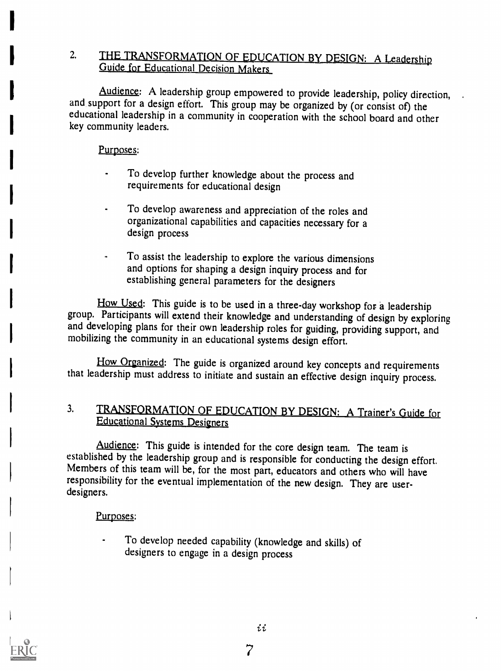## 2. THE TRANSFORMATION OF EDUCATION BY DESIGN: A Leadership Guide for Educational Decision Makers

Audience: A leadership group empowered to provide leadership, policy direction, and support for a design effort. This group may be organized by (or consist of) the educational leadership in a community in cooperation with the school board and other key community leaders.

Purposes:

- To develop further knowledge about the process and requirements for educational design
- To develop awareness and appreciation of the roles and organizational capabilities and capacities necessary for a design process
- To assist the leadership to explore the various dimensions and options for shaping a design inquiry process and for establishing general parameters for the designers

How Used: This guide is to be used in a three-day workshop for a leadership group. Participants will extend their knowledge and understanding of design by exploring and developing plans for their own leadership roles for guiding, providing support, and mobilizing the community in an educational systems design effort.

How Organized: The guide is organized around key concepts and requirements that leadership must address to initiate and sustain an effective design inquiry process.

## 3. TRANSFORMATION OF EDUCATION BY DESIGN: A Trainer's Guide for Educational Systems Designers

Audience: This guide is intended for the core design team. The team is established by the leadership group and is responsible for conducting the design effort. Members of this team will be, for the most part, educators and others who will have responsibility for the eventual implementation of the new design. They are userdesigners.

Purposes:

To develop needed capability (knowledge and skills) of designers to engage in a design process

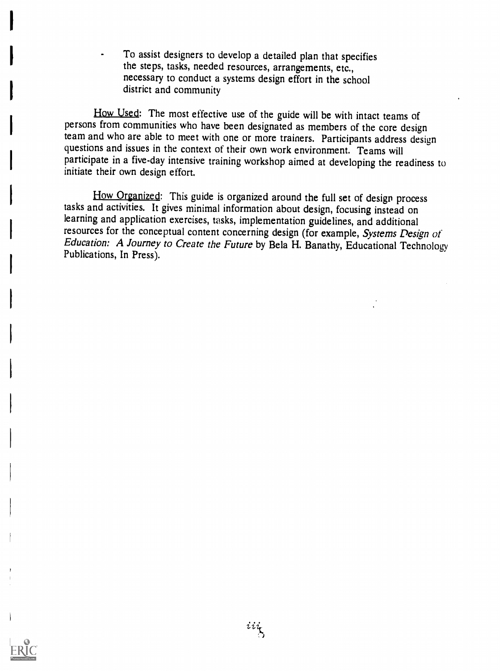To assist designers to develop a detailed plan that specifies the steps, tasks, needed resources, arrangements, etc., necessary to conduct a systems design effort in the school district and community

How Used: The most effective use of the guide will be with intact teams of persons from communities who have been designated as members of the core design team and who are able to meet with one or more trainers. Participants address design questions and issues in the context of their own work environment. Teams will participate in a five-day intensive training workshop aimed at developing the readiness to initiate their own design effort.

How Organized: This guide is organized around the full set of design process tasks and activities. It gives minimal information about design, focusing instead on learning and application exercises, tasks, implementation guidelines, and additional resources for the conceptual content concerning design (for example, Systems Design of Education: A Journey to Create the Future by Bela H. Banathy, Educational Technology Publications, In Press).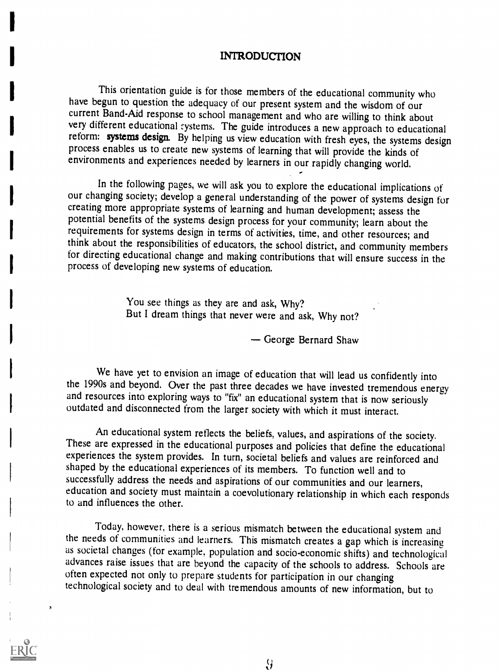### INTRODUCTION

This orientation guide is for those members of the educational community who have begun to question the adequacy of our present system and the wisdom of our current Band-Aid response to school management and who are willing to think about very different educational systems. The guide introduces a new approach to educational reform: systems design. By helping us view education with fresh eyes, the systems design process enables us to create new systems of learning that will provide the kinds of environments and experiences needed by learners in our rapidly changing world.

In the following pages, we will ask you to explore the educational implications of our changing society; develop a general understanding of the power of systems design for creating more appropriate systems of learning and human development; assess the potential benefits of the systems design process for your community; learn about the requirements for systems design in terms of activities, time, and other resources; and think about the responsibilities of educators, the school district, and community members for directing educational change and making contributions that will ensure success in the process of developing new systems of education.

> You see things as they are and ask, Why? But I dream things that never were and ask, Why not?

> > George Bernard Shaw

We have yet to envision an image of education that will lead us confidently into the 1990s and beyond. Over the past three decades we have invested tremendous energy and resources into exploring ways to "fix" an educational system that is now seriously outdated and disconnected from the larger society with which it must interact.

An educational system reflects the beliefs, values, and aspirations of the society.<br>These are expressed in the educational purposes and policies that define the educational experiences the system provides. In turn, societa shaped by the educational experiences of its members. To function well and to successfully address the needs and aspirations of our communities and our learners, education and society must maintain a coevolutionary relationship in which each responds to and influences the other.

Today, however, there is a serious mismatch between the educational system and the needs of communities and learners. This mismatch creates a gap which is increasing as societal changes (for example, population and socio-economic shifts) and technological advances raise issues that are beyond the capacity of the schools to address. Schools are often expected not only to prepare students for participation in our changing technological society and to deal with tremendous amounts of new information, but to

 $\Delta$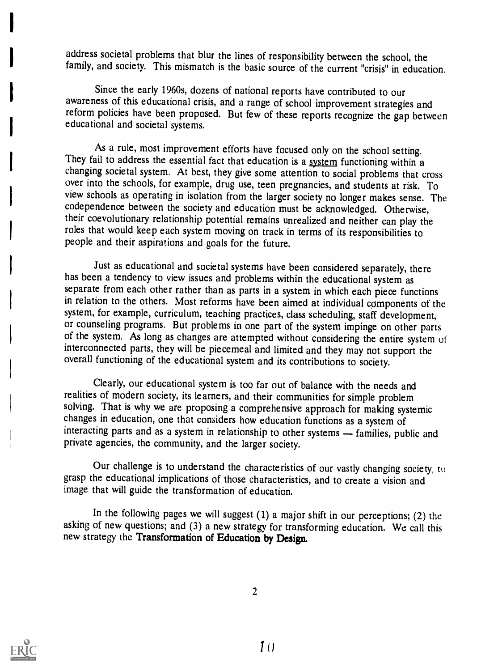address societal problems that blur the lines of responsibility between the school, the family, and society. This mismatch is the basic source of the current "crisis" in education.

Since the early 1960s, dozens of national reports have contributed to our awareness of this educational crisis, and a range of school improvement strategies and reform policies have been proposed. But few of these reports recognize the gap between educational and societal systems.

As a rule, most improvement efforts have focused only on the school setting. They fail to address the essential fact that education is a system functioning within a changing societal system. At best, they give some attention to social problems that cross over into the schools, for example, drug use, teen pregnancies, and students at risk. To view schools as operating in isolation from the larger society no longer makes sense. The codependence between the society and education must be acknowledged. Otherwise, their coevolutionary relationship potential remains unrealized and neither can play the roles that would keep each system moving on track in terms of its responsibilities to people and their aspirations and goals for the future.

Just as educational and societal systems have been considered separately, there has been a tendency to view issues and problems within the educational system as separate from each other rather than as parts in a system in which each piece functions in relation to the others. Most reforms have been aimed at individual components of the system, for example, curriculum, teaching practices, class scheduling, staff development, or counseling programs. But problems in one part of the system impinge on other parts of the system. As long as changes are attempted without considering the entire system of interconnected parts, they will be piecemeal and limited and they may not support the overall functioning of the educational system and its contributions to society.

Clearly, our educational system is too far out of balance with the needs and realities of modern society, its learners, and their communities for simple problem solving. That is why we are proposing a comprehensive approach for making systemic changes in education, one that considers how education functions as a system of interacting parts and as a system in relationship to other systems - families, public and private agencies, the community, and the larger society.

Our challenge is to understand the characteristics of our vastly changing society, to grasp the educational implications of those characteristics, and to create a vision and image that will guide the transformation of education.

In the following pages we will suggest (1) a major shift in our perceptions; (2) the asking of new questions; and (3) a new strategy for transforming education. We call this new strategy the Transformation of Education by Design.



.?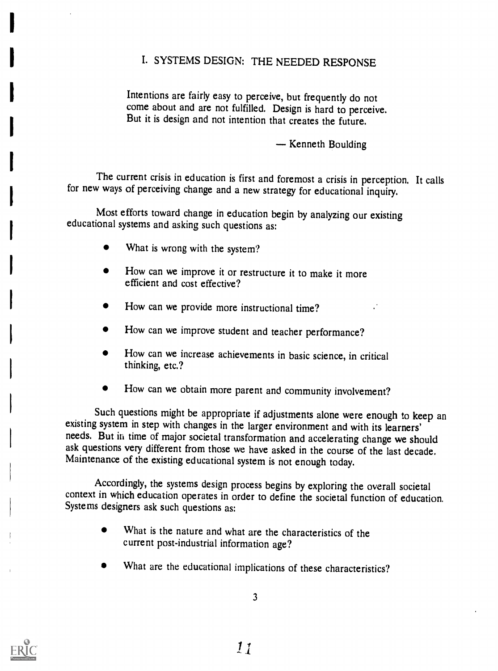## I. SYSTEMS DESIGN: THE NEEDED RESPONSE

Intentions are fairly easy to perceive, but frequently do not come about and are not fulfilled. Design is hard to perceive. But it is design and not intention that creates the future.

- Kenneth Boulding

The current crisis in education is first and foremost a crisis in perception. It calls for new ways of perceiving change and a new strategy for educational inquiry.

Most efforts toward change in education begin by analyzing our existing educational systems and asking such questions as:

- What is wrong with the system?
- How can we improve it or restructure it to make it more efficient and cost effective?
- How can we provide more instructional time?
- How can we improve student and teacher performance?
- How can we increase achievements in basic science, in critical thinking, etc.?
- How can we obtain more parent and community involvement?

Such questions might be appropriate if adjustments alone were enough to keep an existing system in step with changes in the larger environment and with its learners' needs. But in time of major societal transformation and accelerating change we should ask questions very different from those we have asked in the course of the last decade. Maintenance of the existing educational system is not enough today.

Accordingly, the systems design process begins by exploring the overall societal context in which education operates in order to define the societal function of education. Systems designers ask such questions as:

- What is the nature and what are the characteristics of the current post-industrial information age?
- What are the educational implications of these characteristics?

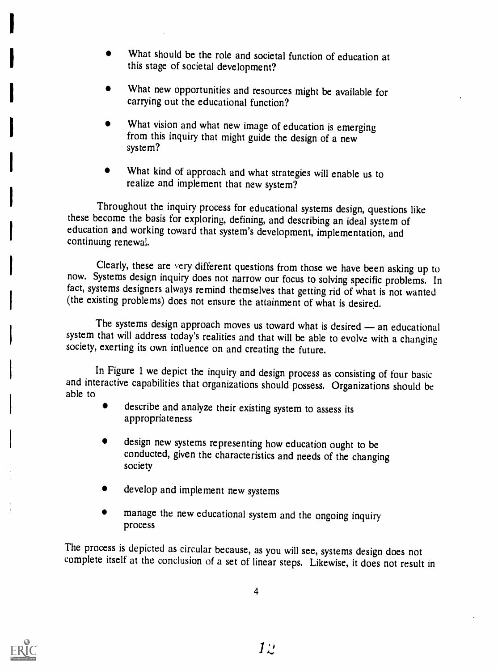- What should be the role and societal function of education at this stage of societal development?
- What should be the role and societal function of education at this stage of societal development?<br>• What new opportunities and resources might be available for carrying out the educational function? What new opportunities and resources might be available for carrying out the educational function?
	- What vision and what new image of education is emerging from this inquiry that might guide the design of a new system?
	- What kind of approach and what strategies will enable us to realize and implement that new system?

Throughout the inquiry process for educational systems design, questions like these become the basis for exploring, defining, and describing an ideal system of education and working toward that system's development, implementation, and continuing renewal.

Clearly, these are very different questions from those we have been asking up to now. Systems design inquiry does not narrow our focus to solving specific problems. In fact, systems designers always remind themselves that getting rid of what is not wanted (the existing problems) does not ensure the attainment of what is desired.

The systems design approach moves us toward what is desired - an educational system that will address today's realities and that will be able to evolve with a changing society, exerting its own influence on and creating the future.

In Figure 1 we depict the inquiry and design process as consisting of four basic and interactive capabilities that organizations should possess. Organizations should be able to

- describe and analyze their existing system to assess its appropriateness
- design new systems representing how education ought to be conducted, given the characteristics and needs of the changing society
- develop and implement new systems
- manage the new educational system and the ongoing inquiry process

The process is depicted as circular because, as you will see, systems design does not complete itself at the conclusion of a set of linear steps. Likewise, it does not result in

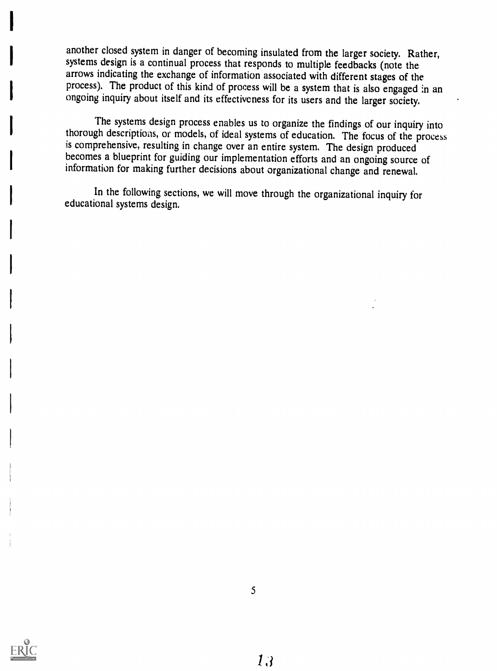another closed system in danger of becoming insulated from the larger society. Rather, systems design is a continual process that responds to multiple feedbacks (note the arrows indicating the exchange of information associated with different stages of the process). The product of this kind of process will be a system that is also engaged in an ongoing inquiry about itself and its effectiveness for its users and the larger society.

The systems design process enables us to organize the findings of our inquiry into thorough descriptions, or models, of ideal systems of education. The focus of the process is comprehensive, resulting in change over an entire system. The design produced becomes a blueprint for guiding our implementation efforts and an ongoing source of information for making further decisions about organizational change and renewal.

In the following sections, we will move through the organizational inquiry for educational systems design.

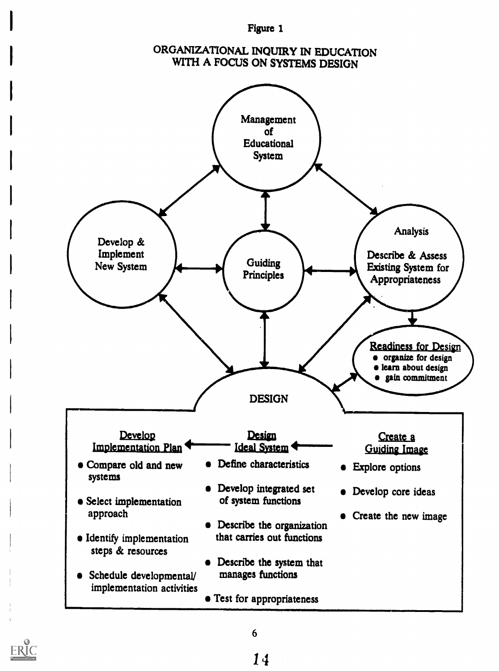#### Figure 1

## ORGANIZATIONAL INQUIRY IN EDUCATION WITH A FOCUS ON SYSTEMS DESIGN



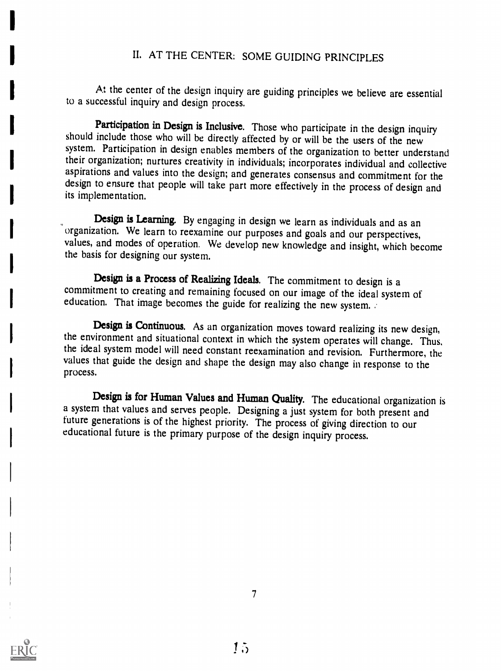# IL AT THE CENTER: SOME GUIDING PRINCIPLES

At the center of the design inquiry are guiding principles we believe are essential to a successful inquiry and design process.

Participation in Design is Inclusive. Those who participate in the design inquiry should include those who will be directly affected by or will be the users of the new system. Participation in design enables members of the organization to better understand their organization; nurtures creativity in individuals; incorporates individual and collective aspirations and values into the design; and generates consensus and commitment for the design to ensure that people will take part more effectively in the process of design and its implementation.

Design is Learning. By engaging in design we learn as individuals and as an organization. We learn to reexamine our purposes and goals and our perspectives, values, and modes of operation. We develop new knowledge and insight, which become the basis for designing our system.

Design is a Process of Realizing Ideals. The commitment to design is a commitment to creating and remaining focused on our image of the ideal system of education. That image becomes the guide for realizing the new system.

Design is Continuous. As an organization moves toward realizing its new design, the environment and situational context in which the system operates will change. Thus, the ideal system model will need constant reexaminatio values that guide the design and shape the design may also change in response to the process.

Design is for Human Values and Human Quality. The educational organization is a system that values and serves people. Designing a just system for both present and future generations is of the highest priority. The process of giving direction to our educational future is the primary purpose of the design inquiry process.

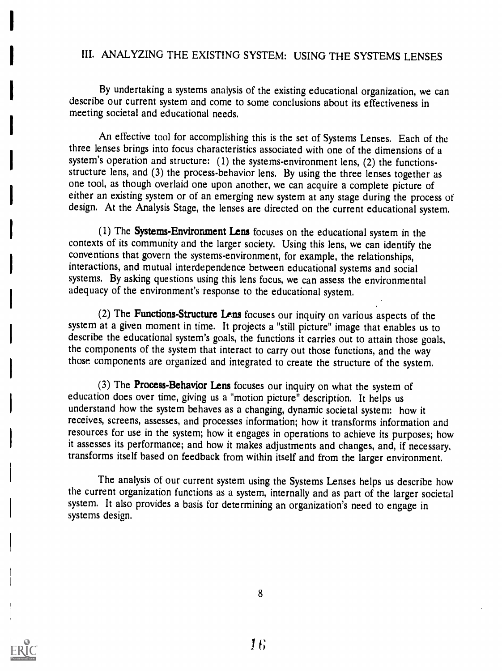### III. ANALYZING THE EXISTING SYSTEM: USING THE SYSTEMS LENSES

By undertaking a systems analysis of the existing educational organization, we can describe our current system and come to some conclusions about its effectiveness in meeting societal and educational needs.

An effective tool for accomplishing this is the set of Systems Lenses. Each of the three lenses brings into focus characteristics associated with one of the dimensions of a system's operation and structure: (1) the systems-environment lens, (2) the functionsstructure lens, and (3) the process-behavior lens. By using the three lenses together as one tool, as though overlaid one upon another, we can acquire a complete picture of either an existing system or of an emerging new system at any stage during the process of design. At the Analysis Stage, the lenses are directed on the current educational system.

(1) The Systems-Environment Lens focuses on the educational system in the contexts of its community and the larger society. Using this lens, we can identify the conventions that govern the systems-environment, for example, the relationships, interactions, and mutual interdependence between educational systems and social systems. By asking questions using this lens focus, we can assess the environmental adequacy of the environment's response to the educational system.

(2) The Functions-Structure Lens focuses our inquiry on various aspects of the system at a given moment in time. It projects a "still picture" image that enables us to describe the educational system's goals, the functions it carries out to attain those goals, the components of the system that interact to carry out those functions, and the way those components are organized and integrated to create the structure of the system.

(3) The Process-Behavior Lens focuses our inquiry on what the system of education does over time, giving us a "motion picture" description. It helps us understand how the system behaves as a changing, dynamic societal system: how it receives, screens, assesses, and processes information; how it transforms information and resources for use in the system; how it engages in operations to achieve its purposes; how it assesses its performance; and how it makes adjustments and changes, and, if necessary, transforms itself based on feedback from within itself and from the larger environment.

The analysis of our current system using the Systems Lenses helps us describe how the current organization functions as a system, internally and as part of the larger societal system. It also provides a basis for determining an organization's need to engage in systems design.

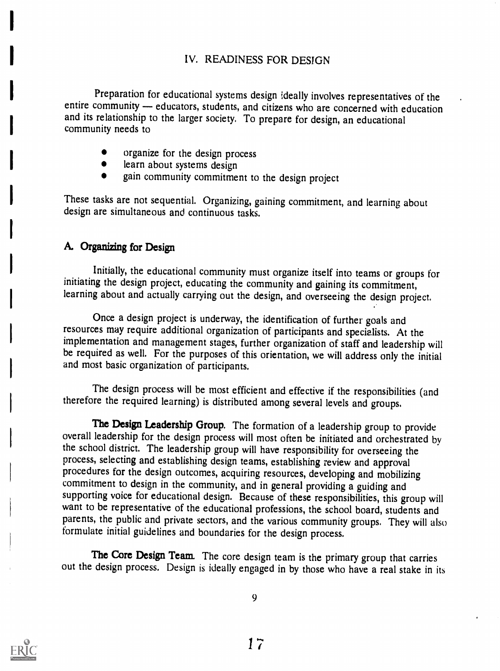## IV. READINESS FOR DESIGN

Preparation for educational systems design ideally involves representatives of the entire community - educators, students, and citizens who are concerned with education and its relationship to the larger society. To prepare for design, an educational community needs to

- organize for the design process
- learn about systems design
- gain community commitment to the design project

These tasks are not sequential. Organizing, gaining commitment, and learning about design are simultaneous and continuous tasks.

### A. Organizing for Design

Initially, the educational community must organize itself into teams or groups for initiating the design project, educating the community and gaining its commitment, learning about and actually carrying out the design, and overseeing the design project.

Once a design project is underway, the identification of further goals and resources may require additional organization of participants and specialists. At the implementation and management stages, further organization of staff and leadership will be required as well. For the purposes of this orientation, we will address only the initial and most basic organization of participants.

The design process will be most efficient and effective if the responsibilities (and therefore the required learning) is distributed among several levels and groups.

The Design Leadership Group. The formation of a leadership group to provide overall leadership for the design process will most often be initiated and orchestrated by the school district. The leadership group will have responsibility for overseeing the process, selecting and establishing design teams, establishing review and approval procedures for the design outcomes, acquiring resources, developing and mobilizing commitment to design in the community, and in general providing a guiding and supporting voice for educational design. Because of these responsibilities, this group will want to be representative of the educational professions, the school board, students and parents, the public and private sectors, and the various community groups. They will also formulate initial guidelines and boundaries for the design process.

The Core Design Team. The core design team is the primary group that carries out the design process. Design is ideally engaged in by those who have a real stake in its

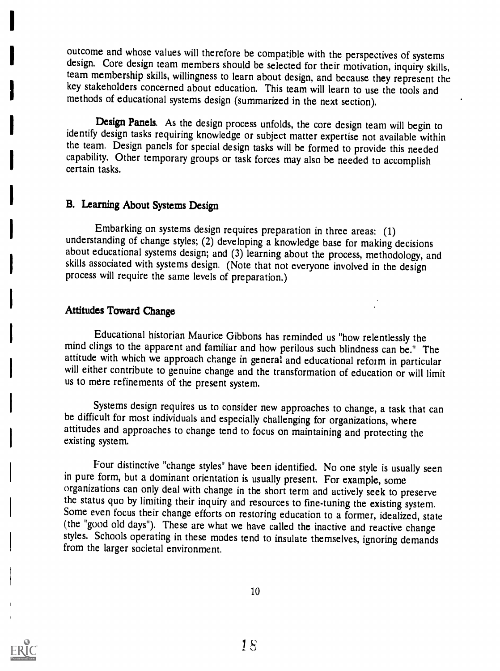outcome and whose values will therefore be compatible with the perspectives of systems design. Core design team members should be selected for their motivation, inquiry skills, team membership skills, willingness to learn about design, and because they represent the key stakeholders concerned about education. This team will learn to use the tools and methods of educational systems design (summarized in the next section).

Design Panels. As the design process unfolds, the core design team will begin to identify design tasks requiring knowledge or subject matter expertise not available within the team. Design panels for special design tasks will be formed to provide this needed capability. Other temporary groups or task forces may also be needed to accomplish certain tasks.

## B. Learning About Systems Design

Embarking on systems design requires preparation in three areas: (1) understanding of change styles; (2) developing a knowledge base for making decisions about educational systems design; and (3) learning about the process, methodology, and skills associated with systems design. (Note that not everyone involved in the design process will require the same levels of preparation.)

### Attitudes Toward Change

Educational historian Maurice Gibbons has reminded us "how relentlessly the mind clings to the apparent and familiar and how perilous such blindness can be." The will either contribute to genuine change and the transformation of education or will limit us to mere refinements of the present system.

Systems design requires us to consider new approaches to change, a task that can be difficult for most individuals and especially challenging for organizations, where attitudes and approaches to change tend to focus on maintaining and protecting the existing system.

Four distinctive "change styles" have been identified. No one style is usually seen in pure form, but a dominant orientation is usually present. For example, some organizations can only deal with change in the short term and actively seek to preserve the status quo by limiting their inquiry and resources to fine-tuning the existing system. Some even focus their change efforts on restoring education to a former, idealized, state (the "good old days"). These are what we have called the inactive and reactive change styles. Schools operating in these modes tend to insulate themselves, ignoring demands from the larger societal environment.

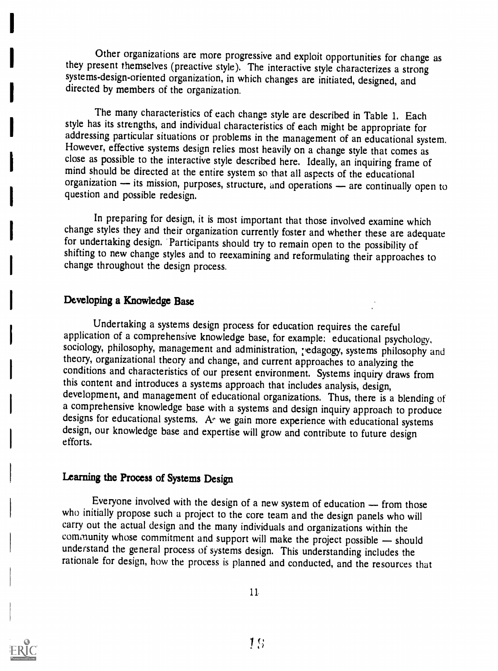Other organizations are more progressive and exploit opportunities for change as they present themselves (preactive style). The interactive style characterizes a strong systems-design-oriented organization, in which changes are initiated, designed, and directed by members of the organization.

The many characteristics of each change style are described in Table 1. Each style has its strengths, and individual characteristics of each might be appropriate for addressing particular situations or problems in the management of an educational system.<br>However, effective systems design relies most heavily on a change style that comes as close as possible to the interactive style desc mind should be directed at the entire system so that all aspects of the educational organization — its mission, purposes, structure, and operations — are continually open to question and possible redesign.

In preparing for design, it is most important that those involved examine which change styles they and their organization currently foster and whether these are adequate for undertaking design. Participants should try to remain open to the possibility of shifting to new change styles and to reexamining and reformulating their approaches to change throughout the design process.

### Developing a Knowledge Base

Undertaking a systems design process for education requires the careful application of a comprehensive knowledge base, for example: educational psychology, sociology, philosophy, management and administration, redagogy, sy theory, organizational theory and change, and current approaches to analyzing the conditions and characteristics of our present environment. Systems inquiry draws from this content and introduces a systems approach that includes analysis, design, development, and management of educational organizations. Thus, there is a blending of a comprehensive knowledge base with a systems and design inquiry approach to produce designs for educational systems. A ve gain more experience with educational systems design, our knowledge base and expertise will grow an efforts.

### Learning the Process of Systems Design

Everyone involved with the design of a new system of education  $-$  from those who initially propose such a project to the core team and the design panels who will carry out the actual design and the many individuals and organizations within the community whose commitment and support will make the project possible  $-$  should understand the general process of systems design. This understanding includes the rationale for design, how the process is planned and conducted, and the resources that



 $11<sub>1</sub>$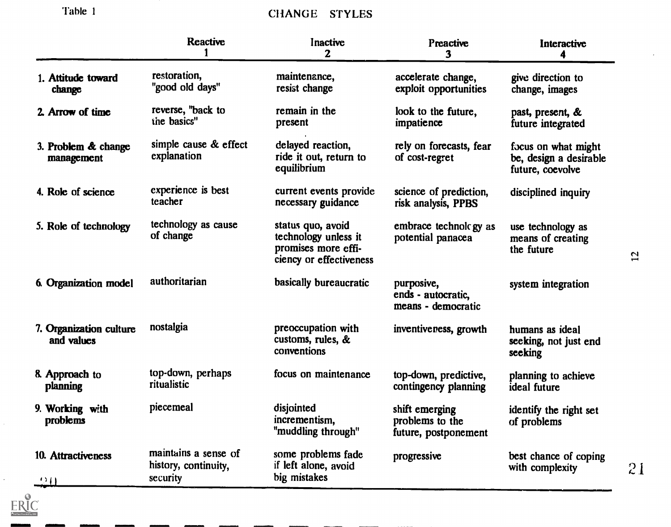'Fable I

 $\mathcal{L}^{\pm}$ 

 $\underset{\overbrace{\mathsf{Full}^{\mathsf{Full}}}}{\mathsf{ERIC}}$ 

# CHANGE STYLES

|                                       | <b>Reactive</b>                                          | Inactive<br>$\mathbf{2}$                                                                    | <b>Preactive</b><br>3                                     | Interactive                                                       |    |
|---------------------------------------|----------------------------------------------------------|---------------------------------------------------------------------------------------------|-----------------------------------------------------------|-------------------------------------------------------------------|----|
| 1. Attitude toward<br>change          | restoration,<br>"good old days"                          | maintenance,<br>resist change                                                               | accelerate change,<br>exploit opportunities               | give direction to<br>change, images                               |    |
| 2. Arrow of time                      | reverse, "back to<br>the basics"                         | remain in the<br>present                                                                    | look to the future,<br>impatience                         | past, present, &<br>future integrated                             |    |
| 3. Problem & change<br>management     | simple cause & effect<br>explanation                     | delayed reaction,<br>ride it out, return to<br>equilibrium                                  | rely on forecasts, fear<br>of cost-regret                 | focus on what might<br>be, design a desirable<br>future, coevolve |    |
| 4. Role of science                    | experience is best<br>teacher                            | current events provide<br>necessary guidance                                                | science of prediction,<br>risk analysis, PPBS             | disciplined inquiry                                               |    |
| 5. Role of technology                 | technology as cause<br>of change                         | status quo, avoid<br>technology unless it<br>promises more effi-<br>ciency or effectiveness | embrace technology as<br>potential panacea                | use technology as<br>means of creating<br>the future              | 12 |
| 6. Organization model                 | authoritarian                                            | basically bureaucratic                                                                      | purposive,<br>ends - autocratic,<br>means - democratic    | system integration                                                |    |
| 7. Organization culture<br>and values | nostalgia                                                | preoccupation with<br>customs, rules, &<br>conventions                                      | inventiveness, growth                                     | humans as ideal<br>seeking, not just end<br>seeking               |    |
| 8. Approach to<br><b>planning</b>     | top-down, perhaps<br>ritualistic                         | focus on maintenance                                                                        | top-down, predictive,<br>contingency planning             | planning to achieve<br>ideal future                               |    |
| 9. Working with<br>problems           | piecemeal                                                | disjointed<br>incrementism,<br>"muddling through"                                           | shift emerging<br>problems to the<br>future, postponement | identify the right set<br>of problems                             |    |
| 10. Attractiveness<br>92 O            | maintains a sense of<br>history, continuity,<br>security | some problems fade<br>if left alone, avoid<br>big mistakes                                  | progressive                                               | best chance of coping<br>with complexity                          | 21 |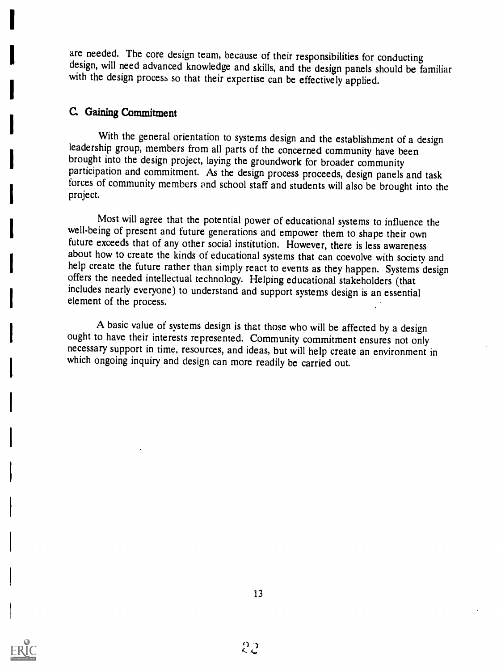are needed. The core design team, because of their responsibilities for conducting design, will need advanced knowledge and skills, and the design panels should be familiar with the design process so that their expertise can be effectively applied.

### C Gaining Commitment

With the general orientation to systems design and the establishment of a design leadership group, members from all parts of the concerned community have been brought into the design project, laying the groundwork for broader community participation and commitment. As the design process proceeds, design panels and task forces of community members and school staff and students will also be brought into the project.

Most will agree that the potential power of educational systems to influence the well-being of present and future generations and empower them to shape their own future exceeds that of any other social institution. However, there is less awareness about how to create the kinds of educational systems that can coevolve with society and help create the future rather than simply react to events as they happen. Systems design offers the needed intellectual technology. Helping educational stakeholders (that includes nearly everyone) to understand and support systems design is an essential element of the process.

A basic value of systems design is that those who will be affected by a design ought to have their interests represented. Community commitment ensures not only necessary support in time, resources, and ideas, but will help which ongoing inquiry and design can more readily be carried out.

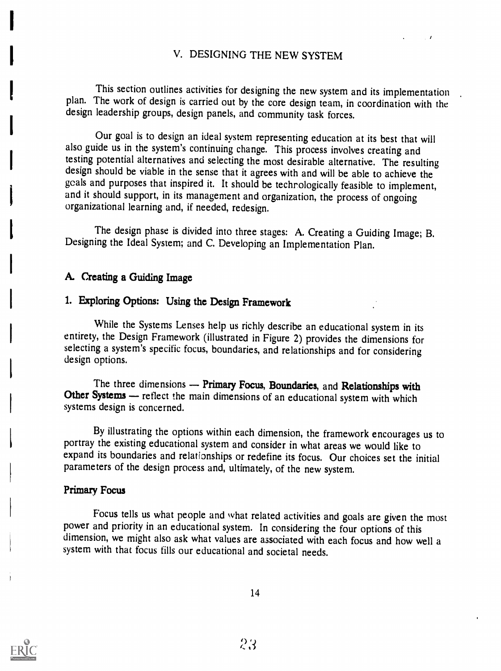### V. DESIGNING THE NEW SYSTEM

This section outlines activities for designing the new system and its implementation plan. The work of design is carried out by the core design team, in coordination with the design leadership groups, design panels, and community task forces.

Our goal is to design an ideal system representing education at its best that will also guide us in the system's continuing change. This process involves creating and testing potential alternatives and selecting the most desirable alternative. The resulting design should be viable in the sense that it agrees with and will be able to achieve the goals and purposes that inspired it. It should be technologically feasible to implement, and it should support, in its management and organization, the process of ongoing organizational learning and, if needed, redesign.

The design phase is divided into three stages: A. Creating a Guiding Image; B. Designing the Ideal System; and C. Developing an Implementation Plan.

### A. Creating a Guiding Image

## 1. Exploring Options: Using the Design Framework

While the Systems Lenses help us richly describe an educational system in its entirety, the Design Framework (illustrated in Figure 2) provides the dimensions for selecting a system's specific focus, boundaries, and relationships and for considering design options.

The three dimensions — Primary Focus, Boundaries, and Relationships with Other Systems — reflect the main dimensions of an educational system with which systems design is concerned.

By illustrating the options within each dimension, the framework encourages us to portray the existing educational system and consider in what areas we would like to expand its boundaries and relationships or redefine its focus. Our choices set the initial parameters of the design process and, ultimately, of the new system.

#### Primary Focus

Focus tells us what people and what related activities and goals are given the most power and priority in an educational system. In considering the four options of this dimension, we might also ask what values are associat system with that focus fills our educational and societal needs.

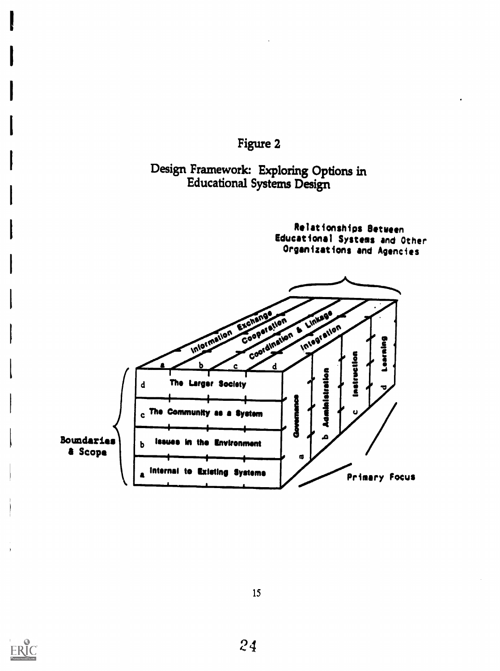



## Design Framework: Exploring Options in Educational Systems Design

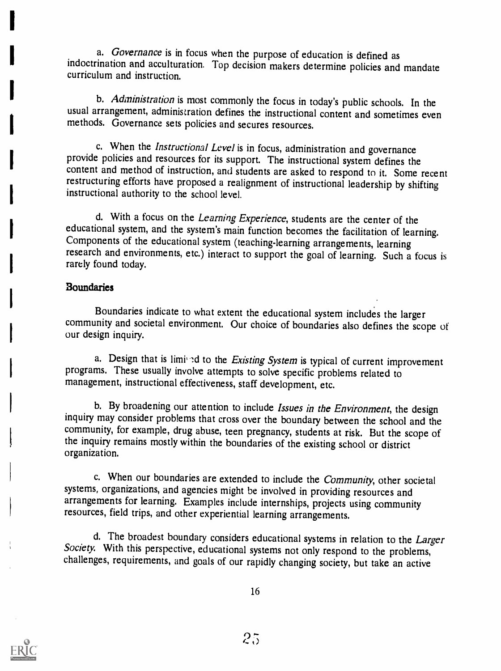a. Governance is in focus when the purpose of education is defined as indoctrination and acculturation. Top decision makers determine policies and mandate curriculum and instruction.

b. Administration is most commonly the focus in today's public schools. In the usual arrangement, administration defines the instructional content and sometimes even methods. Governance sets policies and secures resources.

c. When the *Instructional Level* is in focus, administration and governance provide policies and resources for its support. The instructional system defines the content and method of instruction, and students are asked to restructuring efforts have proposed a realignment of instructional leadership by shifting instructional authority to the school level.

d. With a focus on the Learning Experience, students are the center of the educational system, and the system's main function becomes the facilitation of learning. Components of the educational system (teaching-learning arrangements, learning research and environments, etc.) interact to support the goal of learning. Such a focus is rarely found today.

#### Boundaries

Boundaries indicate to what extent the educational system includes the larger community and societal environment. Our choice of boundaries also defines the scope of our design inquiry.

a. Design that is limined to the Existing System is typical of current improvement programs. These usually involve attempts to solve specific problems related to management, instructional effectiveness, staff development, etc.

b. By broadening our attention to include Issues in the Environment, the design inquiry may consider problems that cross over the boundary between the school and the community, for example, drug abuse, teen pregnancy, students at risk. But the scope of the inquiry remains mostly within the boundaries of the existing school or district organization.

c. When our boundaries are extended to include the *Community*, other societal systems, organizations, and agencies might be involved in providing resources and arrangements for learning. Examples include internships, projects using community resources, field trips, and other experiential learning arrangements.

d. The broadest boundary considers educational systems in relation to the Larger Society. With this perspective, educational systems not only respond to the problems, challenges, requirements, and goals of our rapidly changing society, but take an active

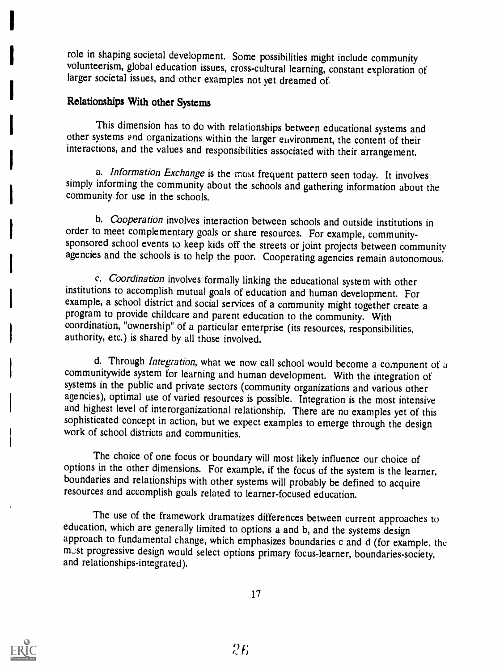role in shaping societal development. Some possibilities might include community volunteerism, global education issues, cross-cultural learning, constant exploration of larger societal issues, and other examples not yet dreamed of.

## Relationships With other Systems

This dimension has to do with relationships between educational systems and other systems end organizations within the larger euvironment, the content of their interactions, and the values and responsibilities associated with their arrangement.

a. Information Exchange is the most frequent pattern seen today. It involves simply informing the community about the schools and gathering information about the community for use in the schools.

b. Cooperation involves interaction between schools and outside institutions in order to meet complementary goals or share resources. For example, communitysponsored school events to keep kids off the streets or joint projects between community agencies and the schools is to help the poor. Cooperating agencies remain autonomous.

c. Coordination involves formally linking the educational system with other<br>institutions to accomplish mutual goals of education and human development. For example, a school district and social services of a community might together create a program to provide childcare and parent education to the community. With coordination, "ownership" of a particular enterprise (its resources, responsibilities, authority, etc.) is shared by all those involved.

d. Through *Integration*, what we now call school would become a component of a communitywide system for learning and human development. With the integration of systems in the public and private sectors (community organizations and various other agencies), optimal use of varied resources is possible. Integration is the most intensive and highest level of interorganizational relationship. There are no examples yet of this sophisticated concept in action, but we expect examples to emerge through the design work of school districts and communities.

The choice of one focus or boundary will most likely influence our choice of options in the other dimensions. For example, if the focus of the system is the learner, boundaries and relationships with other systems will pro resources and accomplish goals related to learner-focused education.

The use of the framework dramatizes differences between current approaches to education, which are generally limited to options a and b, and the systems design approach to fundamental change, which emphasizes boundaries c and d (for example, the must progressive design would select options primary focus-learner, boundaries-society, and relationships-integrated).

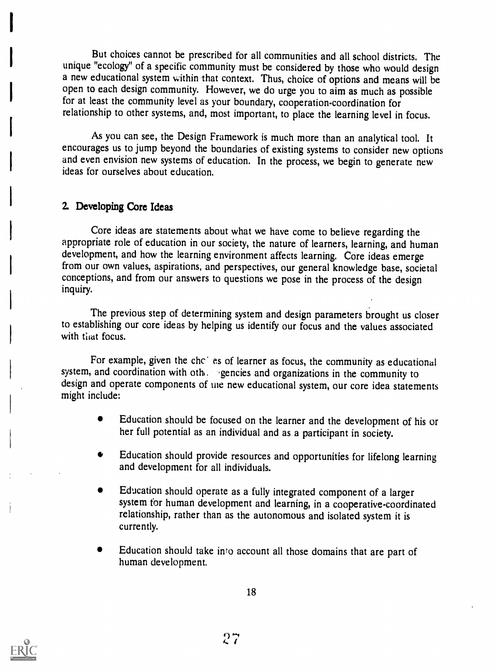But choices cannot be prescribed for all communities and all school districts. The unique "ecology" of a specific community must be considered by those who would design a new educational system within 'that context. Thus, choice of options and means will be open to each design community. However, we do urge you to aim as much as possible for at least the community level as your boundary, cooperation-coordination for relationship to other systems, and, most important, to place the learning level in focus.

As you can see, the Design Framework is much more than an analytical tool. It encourages us to jump beyond the boundaries of existing systems to consider new options and even envision new systems of education. In the process, we begin to generate new ideas for ourselves about education.

### 2. Developing Core Ideas

Core ideas are statements about what we have come to believe regarding the appropriate role of education in our society, the nature of learners, learning, and human development, and how the learning environment affects learning. Core ideas emerge from our own values, aspirations, and perspectives, our general knowledge base, societal conceptions, and from our answers to questions we pose in the process of the design inquiry.

The previous step of determining system and design parameters brought us closer to establishing our core ideas by helping us identify our focus and the values associated with that focus.

For example, given the chc es of learner as focus, the community as educational system, and coordination with oth, egencies and organizations in the community to design and operate components of the new educational system, our core idea statements might include:

- Education should be focused on the learner and the development of his or her full potential as an individual and as a participant in society.
- Education should provide resources and opportunities for lifelong learning  $\bullet$ and development for all individuals.
- Education should operate as a fully integrated component of a larger system for human development and learning, in a cooperative-coordinated relationship, rather than as the autonomous and isolated system it is currently.
- Education should take into account all those domains that are part of human development.



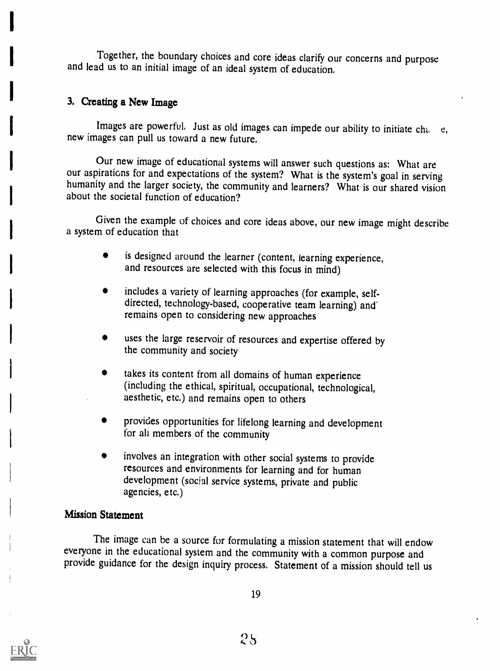Together, the boundary choices and core ideas clarify our concerns and purpose and lead us to an initial image of an ideal system of education.

## 3. Creating a New Image

Images are powerful. Just as old images can impede our ability to initiate cha e, new images can pull us toward a new future.

Our new image of educational systems will answer such questions as: What are our aspirations for and expectations of the system? What is the system's goal in serving humanity and the larger society, the community and learners? What is our shared vision about the societal function of education?

Given the example of choices and core ideas above, our new image might describe a system of education that

- is designed around the learner (content, learning experience, and resources are selected with this focus in mind)
- includes a variety of learning approaches (for example, selfdirected, technology-based, cooperative team learning) and' remains open to considering new approaches
- uses the large reservoir of resources and expertise offered by the community and society
- takes its content from all domains of human experience (including the ethical, spiritual, occupational, technological, aesthetic, etc.) and remains open to others
- provides opportunities for lifelong learning and development for ali members of the community
- involves an integration with other social systems to provide resources and environments for learning and for human development (social service systems, private and public agencies, etc.)

#### Mission Statement

The image can be a source for formulating a mission statement that will endow everyone in the educational system and the community with a common purpose and provide guidance for the design inquiry process. Statement of a mission should tell us

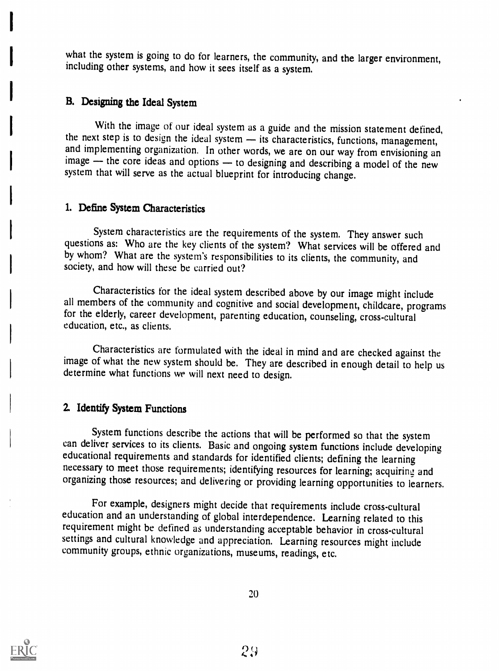what the system is going to do for learners, the community, and the larger environment, including other systems, and how it sees itself as a system.

### B. Designing the Ideal System

With the image of our ideal system as a guide and the mission statement defined, the next step is to design the ideal system — its characteristics, functions, management, and implementing organization. In other words, we a image  $\frac{1}{x}$  the core ideas and options  $\frac{1}{x}$  to designing and describing a model of the new system that will serve as the actual blueprint for introducing change.

#### 1. Define System Characteristics

System characteristics are the requirements of the system. They answer such questions as: Who are the key clients of the system? What services will be offered and by whom? What are the system's responsibilities to its clients, the community, and society, and how will these be carried out?

Characteristics for the ideal system described above by our image might include all members of the community and cognitive and social development, childcare, programs for the elderly, career development, parenting education, counseling, cross-cultural education, etc., as clients.

Characteristics are formulated with the ideal in mind and are checked against the image of what the new system should be. They are described in enough detail to help us determine what functions we will next need to design.

### Z Identify System Functions

System functions describe the actions that will be performed so that the system can deliver services to its clients. Basic and ongoing system functions include developing educational requirements and standards for identified clients; defining the learning necessary to meet those requirements; identifying resources for learning; acquiring and organizing those resources; and delivering or providing learning opportunities to learners.

For example, designers might decide that requirements include cross-cultural education and an understanding of global interdependence. Learning related to this requirement might be defined as understanding acceptable behavior in cross-cultural settings and cultural knowledge and appreciation. Learning resources might include community groups, ethnic organizations, museums, readings, etc.

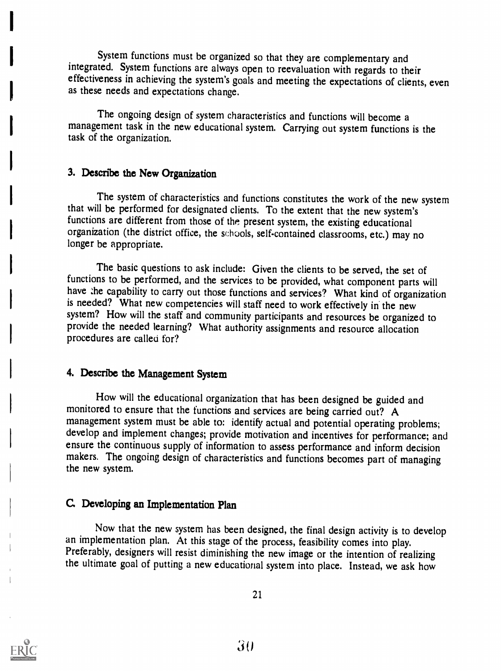System functions must be organized so that they are complementary and integrated. System functions are always open to reevaluation with regards to their effectiveness in achieving the system's goals and meeting the expectations of clients, even as these needs and expectations change.

The ongoing design of system characteristics and functions will become a management task in the new educational system. Carrying out system functions is the task of the organization.

#### 3. Describe the New Organization

The system of characteristics and functions constitutes the work of the new system that will be performed for designated clients. To the extent that the new system's functions are different from those of the present system, the existing educational organization (the district office, the schools, self-contained classrooms, etc.) may no longer be appropriate.

The basic questions to ask include: Given the clients to be served, the set of functions to be performed, and the services to be provided, what component parts will have the capability to carry out those functions and services? What kind of organization is needed? What new competencies will staff need to work effectively in the new system? How will the staff and community participants and resources be organized to provide the needed learning? What authority assignments and resource allocation procedures are called for'?

#### 4. Describe the Management System

How will the educational organization that has been designed be guided and monitored to ensure that the functions and services are being carried out? A management system must be able to: identify actual and potential operating problems; develop and implement changes; provide motivation and incentives for performance; and ensure the continuous supply of information to assess performance and inform decision makers. The ongoing design of characteristics and functions becomes part of managing the new system.

#### C. Developing an Implementation Plan

Now that the new system has been designed, the final design activity is to develop an implementation plan. At this stage of the process, feasibility comes into play. Preferably, designers will resist diminishing the new image or the intention of realizing the ultimate goal of putting a new educational system into place. Instead, we ask how

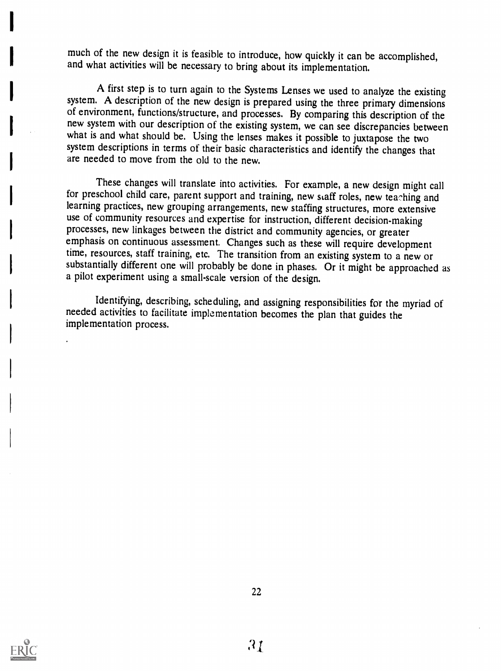much of the new design it is feasible to introduce, how quickly it can be accomplished, and what activities will be necessary to bring about its implementation.

A first step is to turn again to the Systems Lenses we used to analyze the existing system. A description of the new design is prepared using the three primary dimensions of environment, functions/structure, and processes. By comparing this description of the new system with our description of the existing system, we can see discrepancies between what is and what should be. Using the lenses system descriptions in terms of their basic characteristics and identify the changes that are needed to move from the old to the new.

These changes will translate into activities. For example, a new design might call for preschool child care, parent support and training, new staff roles, new teaching and learning practices, new grouping arrangements, new staffing structures, more extensive use of community resources and expertise for instruction, different decision-making<br>processes, new linkages between the district and community agencies, or greater emphasis on continuous assessment. Changes such as these will require development time, resources, staff training, etc. The transition from an existing system to a new or substantially different one will probably be done in phases. Or it might be approached as a pilot experiment using a small-scale version of the design.

Identifying, describing, scheduling, and assigning responsibilities for the myriad of needed activities to facilitate implementation becomes the plan that guides the implementation process.

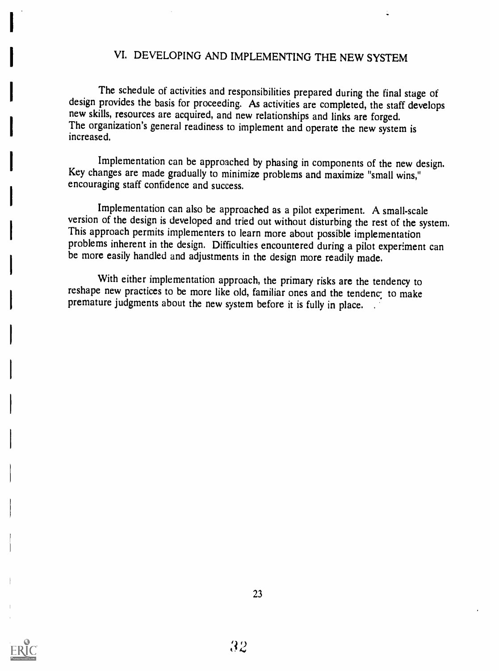# VI. DEVELOPING AND IMPLEMENTING THE NEW SYSTEM

The schedule of activities and responsibilities prepared during the final stage of design provides the basis for proceeding. As activities are completed, the staff develops new skills, resources are acquired, and new relat The organization's general readiness to implement and operate the new system is increased.

Implementation can be approached by phasing in components of the new design. Key changes are made gradually to minimize problems and maximize "small wins," encouraging staff confidence and success.

Implementation can also be approached as a pilot experiment. A small-scale version of the design is developed and tried out without disturbing the rest of the system. This approach permits implementers to learn more about possible implementation problems inherent in the design. Difficulties encountered during a pilot experiment can be more easily handled and adjustments in the design more readily made.

With either implementation approach, the primary risks are the tendency to reshape new practices to be more like old, familiar ones and the tendenc: to make premature judgments about the new system before it is fully in place. .

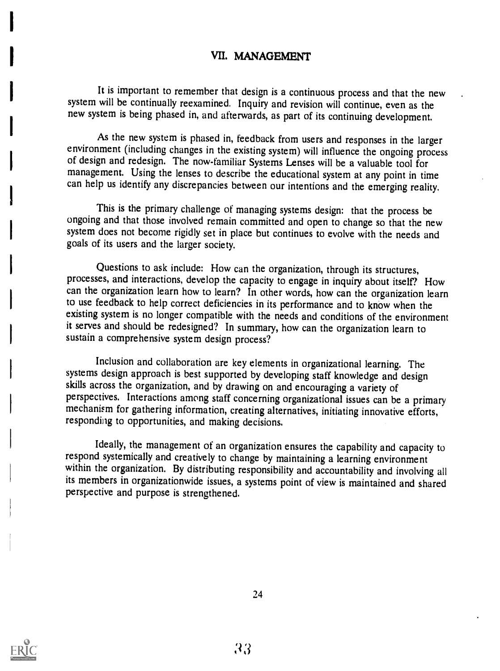### VII. MANAGEMENT

It is important to remember that design is a continuous process and that the new system will be continually reexamined. Inquiry and revision will continue, even as the new system is being phased in, and afterwards, as part of its continuing development.

As the new system is phased in, feedback from users and responses in the larger environment (including changes in the existing system) will influence the ongoing process of design and redesign. The now-familiar Systems Lenses will be a valuable tool for management. Using the lenses to describe the educational system at any point in time can help us identify any discrepancies between our intentions and the emerging reality.

This is the primary challenge of managing systems design: that the process be ongoing and that those involved remain committed and open to change so that the new system does not become rigidly set in place but continues to evolve with the needs and goals of its users and the larger society.

Questions to ask include: How can the organization, through its structures, processes, and interactions, develop the capacity to engage in inquiry about itself? How can the organization learn how to learn? In other words, how can the organization learn to use feedback to help correct deficiencies in its performance and to know when the existing system is no longer compatible with the needs and conditions of the environment it serves and should be redesigned? In summary, how can the organization learn to sustain a comprehensive system design process?

Inclusion and collaboration are key elements in organizational learning. The systems design approach is best supported by developing staff knowledge and design skills across the organization, and by drawing on and encouraging a variety of perspectives. Interactions among staff concerning organizational issues can be a primary mechanism for gathering information, creating alternatives, initiating innovative efforts, responding to opportunities, and making decisions.

Ideally, the management of an organization ensures the capability and capacity to respond systemically and creatively to change by maintaining a learning environment within the organization. By distributing responsibility and accountability and involving all its members in organizationwide issues, a systems point of view is maintained and shared perspective and purpose is strengthened.